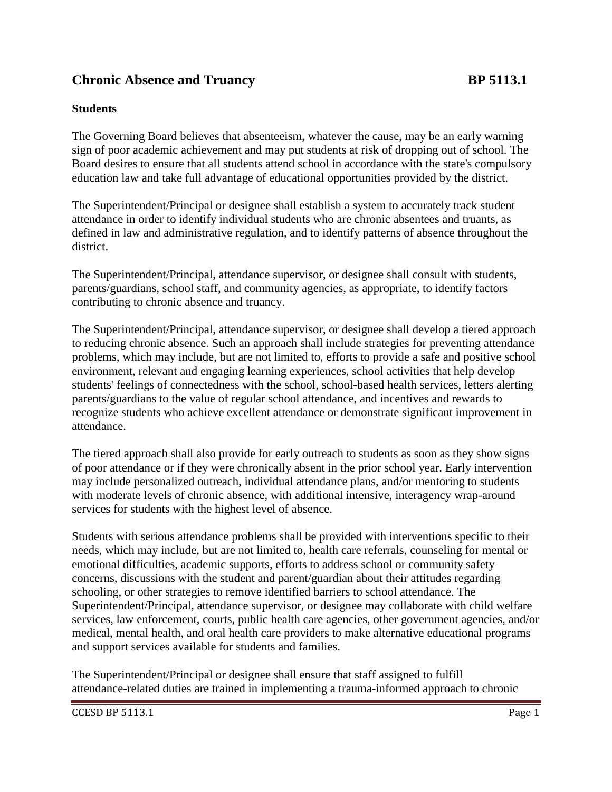## **Chronic Absence and Truancy BP 5113.1**

## **Students**

The Governing Board believes that absenteeism, whatever the cause, may be an early warning sign of poor academic achievement and may put students at risk of dropping out of school. The Board desires to ensure that all students attend school in accordance with the state's compulsory education law and take full advantage of educational opportunities provided by the district.

The Superintendent/Principal or designee shall establish a system to accurately track student attendance in order to identify individual students who are chronic absentees and truants, as defined in law and administrative regulation, and to identify patterns of absence throughout the district.

The Superintendent/Principal, attendance supervisor, or designee shall consult with students, parents/guardians, school staff, and community agencies, as appropriate, to identify factors contributing to chronic absence and truancy.

The Superintendent/Principal, attendance supervisor, or designee shall develop a tiered approach to reducing chronic absence. Such an approach shall include strategies for preventing attendance problems, which may include, but are not limited to, efforts to provide a safe and positive school environment, relevant and engaging learning experiences, school activities that help develop students' feelings of connectedness with the school, school-based health services, letters alerting parents/guardians to the value of regular school attendance, and incentives and rewards to recognize students who achieve excellent attendance or demonstrate significant improvement in attendance.

The tiered approach shall also provide for early outreach to students as soon as they show signs of poor attendance or if they were chronically absent in the prior school year. Early intervention may include personalized outreach, individual attendance plans, and/or mentoring to students with moderate levels of chronic absence, with additional intensive, interagency wrap-around services for students with the highest level of absence.

Students with serious attendance problems shall be provided with interventions specific to their needs, which may include, but are not limited to, health care referrals, counseling for mental or emotional difficulties, academic supports, efforts to address school or community safety concerns, discussions with the student and parent/guardian about their attitudes regarding schooling, or other strategies to remove identified barriers to school attendance. The Superintendent/Principal, attendance supervisor, or designee may collaborate with child welfare services, law enforcement, courts, public health care agencies, other government agencies, and/or medical, mental health, and oral health care providers to make alternative educational programs and support services available for students and families.

The Superintendent/Principal or designee shall ensure that staff assigned to fulfill attendance-related duties are trained in implementing a trauma-informed approach to chronic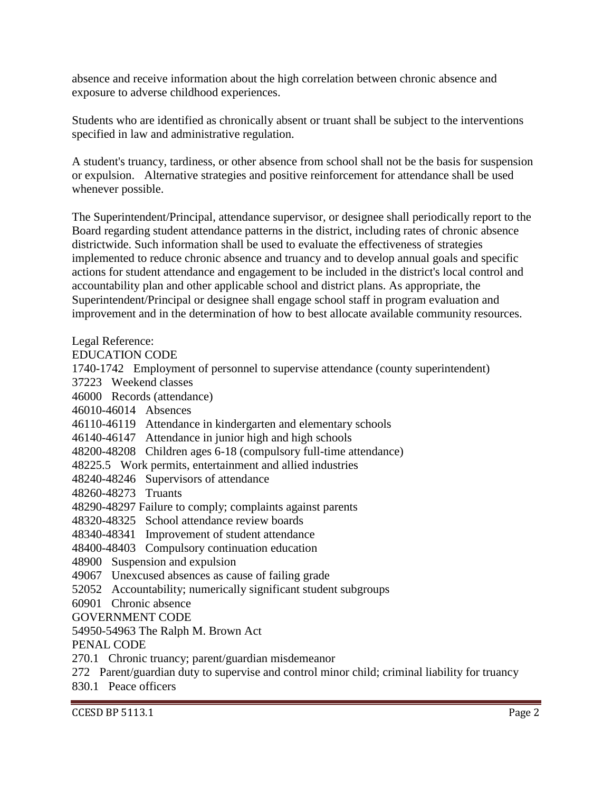absence and receive information about the high correlation between chronic absence and exposure to adverse childhood experiences.

Students who are identified as chronically absent or truant shall be subject to the interventions specified in law and administrative regulation.

A student's truancy, tardiness, or other absence from school shall not be the basis for suspension or expulsion. Alternative strategies and positive reinforcement for attendance shall be used whenever possible.

The Superintendent/Principal, attendance supervisor, or designee shall periodically report to the Board regarding student attendance patterns in the district, including rates of chronic absence districtwide. Such information shall be used to evaluate the effectiveness of strategies implemented to reduce chronic absence and truancy and to develop annual goals and specific actions for student attendance and engagement to be included in the district's local control and accountability plan and other applicable school and district plans. As appropriate, the Superintendent/Principal or designee shall engage school staff in program evaluation and improvement and in the determination of how to best allocate available community resources.

Legal Reference:

EDUCATION CODE

1740-1742 Employment of personnel to supervise attendance (county superintendent)

37223 Weekend classes

46000 Records (attendance)

46010-46014 Absences

46110-46119 Attendance in kindergarten and elementary schools

46140-46147 Attendance in junior high and high schools

48200-48208 Children ages 6-18 (compulsory full-time attendance)

48225.5 Work permits, entertainment and allied industries

48240-48246 Supervisors of attendance

48260-48273 Truants

48290-48297 Failure to comply; complaints against parents

48320-48325 School attendance review boards

48340-48341 Improvement of student attendance

48400-48403 Compulsory continuation education

48900 Suspension and expulsion

49067 Unexcused absences as cause of failing grade

52052 Accountability; numerically significant student subgroups

60901 Chronic absence

GOVERNMENT CODE

54950-54963 The Ralph M. Brown Act

PENAL CODE

270.1 Chronic truancy; parent/guardian misdemeanor

272 Parent/guardian duty to supervise and control minor child; criminal liability for truancy

830.1 Peace officers